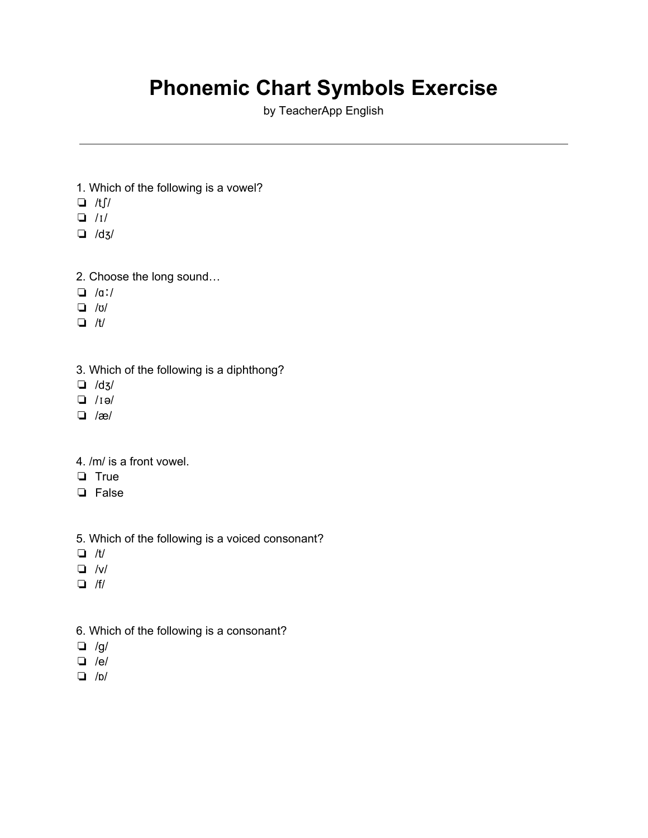## **Phonemic Chart Symbols Exercise**

by TeacherApp English

- 1. Which of the following is a vowel?
- ❏ /tʃ/
- ❏ /ɪ/
- ❏ /dʒ/
- 2. Choose the long sound…
- ❏ /ɑː/
- ❏ /ʊ/
- ❏ /t/
- 3. Which of the following is a diphthong?
- ❏ /dʒ/
- ❏ /ɪə/
- ❏ /æ/
- 4. /m/ is a front vowel.
- ❏ True
- ❏ False
- 5. Which of the following is a voiced consonant?
- ❏ /t/
- ❏ /v/
- ❏ /f/
- 6. Which of the following is a consonant?
- $\Box$  /g/
- ❏ /e/
- ❏ /ɒ/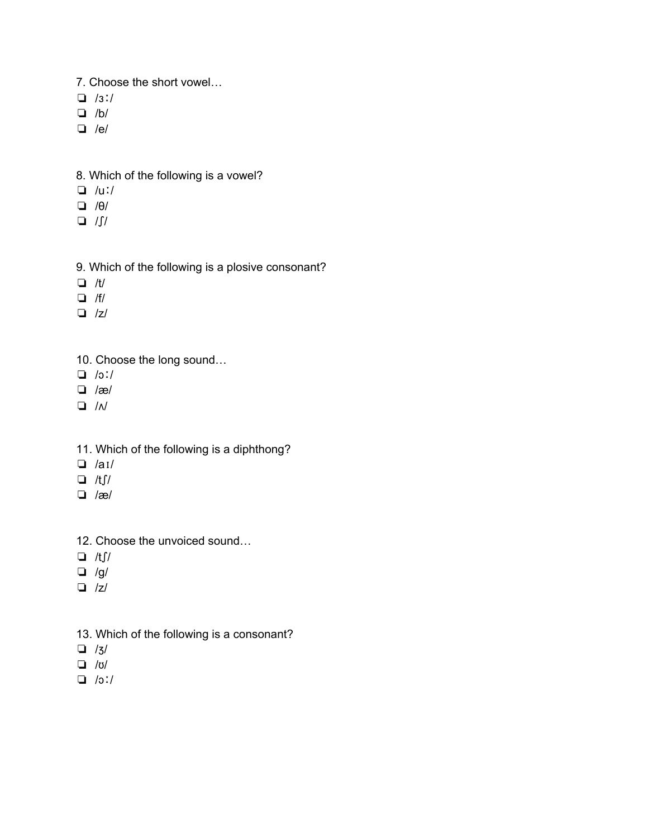- 7. Choose the short vowel…
- ❏ /ɜː/
- ❏ /b/
- ❏ /e/
- 8. Which of the following is a vowel?
- ❏ /uː/
- ❏ /θ/
- ❏ /ʃ/
- 9. Which of the following is a plosive consonant?
- ❏ /t/
- ❏ /f/
- ❏ /z/
- 10. Choose the long sound…
- ❏ /ɔː/
- ❏ /æ/
- ❏ /ʌ/
- 11. Which of the following is a diphthong?
- ❏ /aɪ/
- $\Box$  /tf/
- ❏ /æ/
- 12. Choose the unvoiced sound…
- ❏ /tʃ/
- $\Box$  /g/
- ❏ /z/
- 13. Which of the following is a consonant?
- ❏ /ʒ/
- ❏ /ʊ/
- ❏ /ɔː/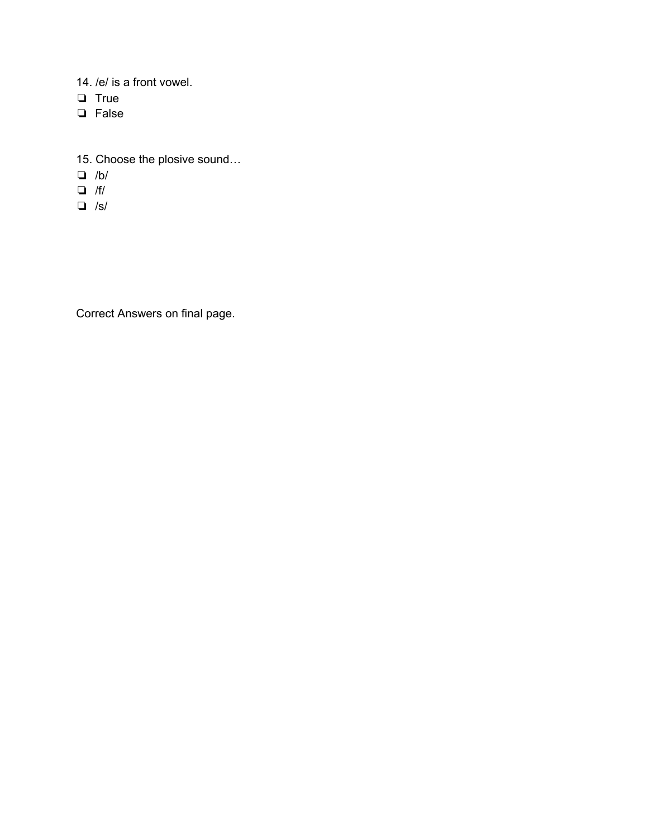- 14. /e/ is a front vowel.
- ❏ True
- ❏ False
- 15. Choose the plosive sound…
- ❏ /b/
- ❏ /f/
- ❏ /s/

Correct Answers on final page.